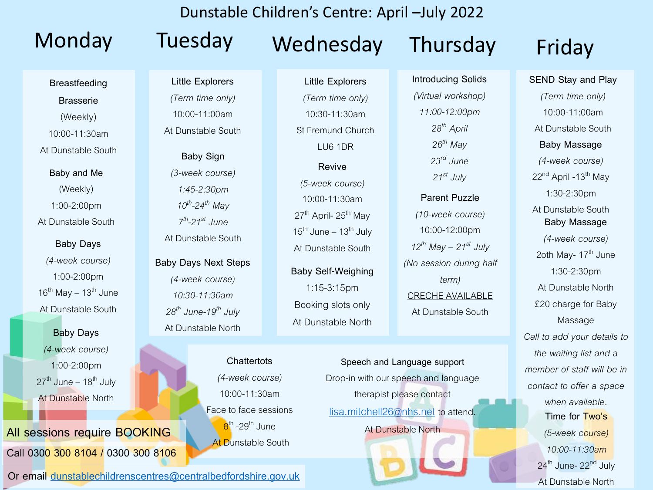**Breastfeeding** 

**Brasserie** (Weekly)

10:00-11:30am

At Dunstable South

**Baby and Me** (Weekly) 1:00-2:00pm At Dunstable South

**Baby Days** *(4-week course)* 1:00-2:00pm  $16^{th}$  May –  $13^{th}$  June At Dunstable South

**Baby Days** *(4-week course)* 1:00-2:00pm  $27<sup>th</sup>$  June – 18<sup>th</sup> July At Dunstable North

# **All sessions require BOOKING Call 0300 300 8104 / 0300 300 8106**

**Little Explorers**  *(Term time only)* 10:00-11:00am

At Dunstable South

**Baby Sign** *(3-week course) 1:45-2:30pm 10th -24th May 7 th -21st June* At Dunstable South

**Baby Days Next Steps** *(4-week course) 10:30-11:30am 28th June-19th July*  At Dunstable North

> **Chattertots** *(4-week course)* 10:00-11:30am Face to face sessions <mark>8</mark><sup>th</sup> -29<sup>th</sup> June **At Dunstable South**

**Or email [dunstablechildrenscentres@centralbedfordshire.gov.uk](mailto:dunstablechildrenscentres@centralbedfordshire.gov.uk)**

Monday Tuesday Wednesday Thursday Friday

Dunstable Children's Centre: April –July 2022

**Little Explorers**  *(Term time only)* 10:30-11:30am St Fremund Church LU6 1DR

**Revive** *(5-week course)* 10:00-11:30am  $27<sup>th</sup>$  April-  $25<sup>th</sup>$  May  $15^{th}$  June –  $13^{th}$  July At Dunstable South

**Baby Self-Weighing** 1:15-3:15pm Booking slots only At Dunstable North

> **Speech and Language support** Drop-in with our speech and language therapist please contact [lisa.mitchell26@nhs.net](mailto:lisa.mitchell26@nhs.net) to attend. At Dunstable North

**Introducing Solids** *(Virtual workshop) 11:00-12:00pm 28th April 26th May 23rd June*   $21^{st}$  *July* 

**Parent Puzzle** *(10-week course)* 10:00-12:00pm  $12^{th}$  *May – 21*<sup>st</sup> *July (No session during half term)*  CRECHE AVAILABLE At Dunstable South

**SEND Stay and Play** *(Term time only)* 10:00-11:00am At Dunstable South **Baby Massage** *(4-week course)* 22<sup>nd</sup> April -13<sup>th</sup> May 1:30-2:30pm At Dunstable South **Baby Massage** *(4-week course)* 2oth May- 17<sup>th</sup> June 1:30-2:30pm At Dunstable North £20 charge for Baby Massage *Call to add your details to the waiting list and a member of staff will be in contact to offer a space when available.*  **Time for Two's** *(5-week course) 10:00-11:30am* 24<sup>th</sup> June-22<sup>nd</sup> July At Dunstable North